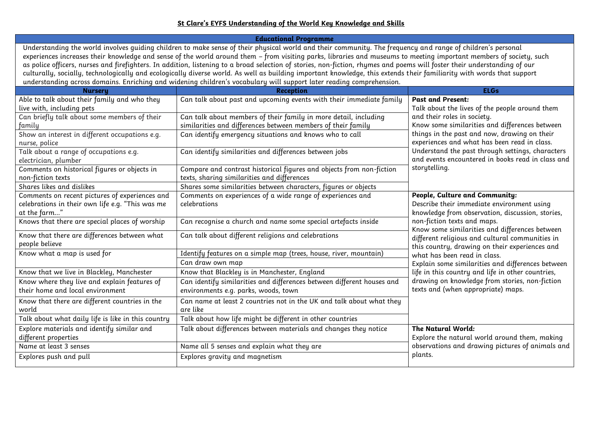## **St Clare's EYFS Understanding of the World Key Knowledge and Skills**

| <b>Educational Programme</b>                                                                                                                                                                                                                                                                                                                                                                                                                                                                                                                                                                                                                                                                                                                                                                                     |                                                                                                                                  |                                                                                                                                                                                                                                                                                                                                                                                                                                                                                                                                                          |  |
|------------------------------------------------------------------------------------------------------------------------------------------------------------------------------------------------------------------------------------------------------------------------------------------------------------------------------------------------------------------------------------------------------------------------------------------------------------------------------------------------------------------------------------------------------------------------------------------------------------------------------------------------------------------------------------------------------------------------------------------------------------------------------------------------------------------|----------------------------------------------------------------------------------------------------------------------------------|----------------------------------------------------------------------------------------------------------------------------------------------------------------------------------------------------------------------------------------------------------------------------------------------------------------------------------------------------------------------------------------------------------------------------------------------------------------------------------------------------------------------------------------------------------|--|
| Understanding the world involves guiding children to make sense of their physical world and their community. The frequency and range of children's personal<br>experiences increases their knowledge and sense of the world around them - from visiting parks, libraries and museums to meeting important members of society, such<br>as police officers, nurses and firefighters. In addition, listening to a broad selection of stories, non-fiction, rhymes and poems will foster their understanding of our<br>culturally, socially, technologically and ecologically diverse world. As well as building important knowledge, this extends their familiarity with words that support<br>understanding across domains. Enriching and widening children's vocabulary will support later reading comprehension. |                                                                                                                                  |                                                                                                                                                                                                                                                                                                                                                                                                                                                                                                                                                          |  |
| <b>Nursery</b>                                                                                                                                                                                                                                                                                                                                                                                                                                                                                                                                                                                                                                                                                                                                                                                                   | <b>Reception</b>                                                                                                                 | <b>ELGs</b>                                                                                                                                                                                                                                                                                                                                                                                                                                                                                                                                              |  |
| Able to talk about their family and who they<br>live with, including pets                                                                                                                                                                                                                                                                                                                                                                                                                                                                                                                                                                                                                                                                                                                                        | Can talk about past and upcoming events with their immediate family                                                              | <b>Past and Present:</b><br>Talk about the lives of the people around them                                                                                                                                                                                                                                                                                                                                                                                                                                                                               |  |
| Can briefly talk about some members of their<br>family                                                                                                                                                                                                                                                                                                                                                                                                                                                                                                                                                                                                                                                                                                                                                           | Can talk about members of their family in more detail, including<br>similarities and differences between members of their family | and their roles in society.<br>Know some similarities and differences between<br>things in the past and now, drawing on their<br>experiences and what has been read in class.<br>Understand the past through settings, characters<br>and events encountered in books read in class and<br>storytelling.                                                                                                                                                                                                                                                  |  |
| Show an interest in different occupations e.g.<br>nurse, police                                                                                                                                                                                                                                                                                                                                                                                                                                                                                                                                                                                                                                                                                                                                                  | Can identify emergency situations and knows who to call                                                                          |                                                                                                                                                                                                                                                                                                                                                                                                                                                                                                                                                          |  |
| Talk about a range of occupations e.g.<br>electrician, plumber                                                                                                                                                                                                                                                                                                                                                                                                                                                                                                                                                                                                                                                                                                                                                   | Can identify similarities and differences between jobs                                                                           |                                                                                                                                                                                                                                                                                                                                                                                                                                                                                                                                                          |  |
| Comments on historical figures or objects in<br>non-fiction texts                                                                                                                                                                                                                                                                                                                                                                                                                                                                                                                                                                                                                                                                                                                                                | Compare and contrast historical figures and objects from non-fiction<br>texts, sharing similarities and differences              |                                                                                                                                                                                                                                                                                                                                                                                                                                                                                                                                                          |  |
| Shares likes and dislikes                                                                                                                                                                                                                                                                                                                                                                                                                                                                                                                                                                                                                                                                                                                                                                                        | Shares some similarities between characters, figures or objects                                                                  |                                                                                                                                                                                                                                                                                                                                                                                                                                                                                                                                                          |  |
| Comments on recent pictures of experiences and<br>celebrations in their own life e.g. "This was me<br>at the farm"                                                                                                                                                                                                                                                                                                                                                                                                                                                                                                                                                                                                                                                                                               | Comments on experiences of a wide range of experiences and<br>celebrations                                                       | People, Culture and Community:<br>Describe their immediate environment using<br>knowledge from observation, discussion, stories,<br>non-fiction texts and maps.<br>Know some similarities and differences between<br>different religious and cultural communities in<br>this country, drawing on their experiences and<br>what has been read in class.<br>Explain some similarities and differences between<br>life in this country and life in other countries,<br>drawing on knowledge from stories, non-fiction<br>texts and (when appropriate) maps. |  |
| Knows that there are special places of worship                                                                                                                                                                                                                                                                                                                                                                                                                                                                                                                                                                                                                                                                                                                                                                   | Can recognise a church and name some special artefacts inside                                                                    |                                                                                                                                                                                                                                                                                                                                                                                                                                                                                                                                                          |  |
| Know that there are differences between what<br>people believe                                                                                                                                                                                                                                                                                                                                                                                                                                                                                                                                                                                                                                                                                                                                                   | Can talk about different religions and celebrations                                                                              |                                                                                                                                                                                                                                                                                                                                                                                                                                                                                                                                                          |  |
| Know what a map is used for                                                                                                                                                                                                                                                                                                                                                                                                                                                                                                                                                                                                                                                                                                                                                                                      | Identify features on a simple map (trees, house, river, mountain)<br>Can draw own map                                            |                                                                                                                                                                                                                                                                                                                                                                                                                                                                                                                                                          |  |
| Know that we live in Blackley, Manchester                                                                                                                                                                                                                                                                                                                                                                                                                                                                                                                                                                                                                                                                                                                                                                        | Know that Blackley is in Manchester, England                                                                                     |                                                                                                                                                                                                                                                                                                                                                                                                                                                                                                                                                          |  |
| Know where they live and explain features of<br>their home and local environment                                                                                                                                                                                                                                                                                                                                                                                                                                                                                                                                                                                                                                                                                                                                 | Can identify similarities and differences between different houses and<br>environments e.g. parks, woods, town                   |                                                                                                                                                                                                                                                                                                                                                                                                                                                                                                                                                          |  |
| Know that there are different countries in the<br>world                                                                                                                                                                                                                                                                                                                                                                                                                                                                                                                                                                                                                                                                                                                                                          | Can name at least 2 countries not in the UK and talk about what they<br>are like                                                 |                                                                                                                                                                                                                                                                                                                                                                                                                                                                                                                                                          |  |
| Talk about what daily life is like in this country                                                                                                                                                                                                                                                                                                                                                                                                                                                                                                                                                                                                                                                                                                                                                               | Talk about how life might be different in other countries                                                                        |                                                                                                                                                                                                                                                                                                                                                                                                                                                                                                                                                          |  |
| Explore materials and identify similar and<br>different properties                                                                                                                                                                                                                                                                                                                                                                                                                                                                                                                                                                                                                                                                                                                                               | Talk about differences between materials and changes they notice                                                                 | The Natural World:<br>Explore the natural world around them, making<br>observations and drawing pictures of animals and                                                                                                                                                                                                                                                                                                                                                                                                                                  |  |
| Name at least 3 senses                                                                                                                                                                                                                                                                                                                                                                                                                                                                                                                                                                                                                                                                                                                                                                                           | Name all 5 senses and explain what they are                                                                                      |                                                                                                                                                                                                                                                                                                                                                                                                                                                                                                                                                          |  |
| Explores push and pull                                                                                                                                                                                                                                                                                                                                                                                                                                                                                                                                                                                                                                                                                                                                                                                           | Explores gravity and magnetism                                                                                                   | plants.                                                                                                                                                                                                                                                                                                                                                                                                                                                                                                                                                  |  |